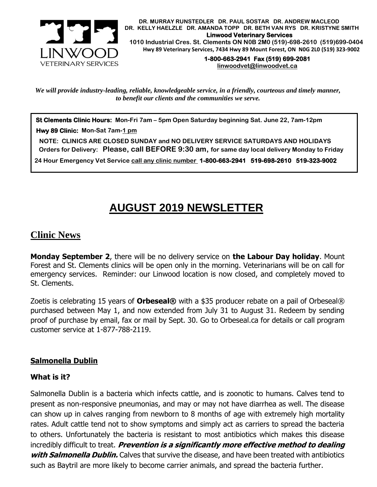

 **DR. MURRAY RUNSTEDLER DR. PAUL SOSTAR DR. ANDREW MACLEOD DR. KELLY HAELZLE DR. AMANDA TOPP DR. BETH VAN RYS DR. KRISTYNE SMITH Linwood Veterinary Services 1010 Industrial Cres. St. Clements ON N0B 2M0 (519)-698-2610 (519)699-0404 Hwy 89 Veterinary Services, 7434 Hwy 89 Mount Forest, ON N0G 2L0 (519) 323-9002**

> **1-800-663-2941 Fax (519) 699-2081 [linwoodvet@linwoodvet.ca](mailto:linwoodvet@linwoodvet.ca)**

*We will provide industry-leading, reliable, knowledgeable service, in a friendly, courteous and timely manner, to benefit our clients and the communities we serve.*

**St Clements Clinic Hours: Mon-Fri 7am – 5pm Open Saturday beginning Sat. June 22, 7am-12pm**

 **Hwy 89 Clinic: Mon-Sat 7am-1 pm**

 **NOTE: CLINICS ARE CLOSED SUNDAY and NO DELIVERY SERVICE SATURDAYS AND HOLIDAYS Orders for Delivery: Please, call BEFORE 9:30 am, for same day local delivery Monday to Friday** 

 **24 Hour Emergency Vet Service call any clinic number 1-800-663-2941 519-698-2610 519-323-9002**

# **AUGUST 2019 NEWSLETTER**

# **Clinic News**

**Monday September 2**, there will be no delivery service on **the Labour Day holiday**. Mount Forest and St. Clements clinics will be open only in the morning. Veterinarians will be on call for emergency services. Reminder: our Linwood location is now closed, and completely moved to St. Clements.

Zoetis is celebrating 15 years of **Orbeseal®** with a \$35 producer rebate on a pail of Orbeseal® purchased between May 1, and now extended from July 31 to August 31. Redeem by sending proof of purchase by email, fax or mail by Sept. 30. Go to Orbeseal.ca for details or call program customer service at 1-877-788-2119.

## **Salmonella Dublin**

#### **What is it?**

Salmonella Dublin is a bacteria which infects cattle, and is zoonotic to humans. Calves tend to present as non-responsive pneumonias, and may or may not have diarrhea as well. The disease can show up in calves ranging from newborn to 8 months of age with extremely high mortality rates. Adult cattle tend not to show symptoms and simply act as carriers to spread the bacteria to others. Unfortunately the bacteria is resistant to most antibiotics which makes this disease incredibly difficult to treat. **Prevention is a significantly more effective method to dealing with Salmonella Dublin.** Calves that survive the disease, and have been treated with antibiotics such as Baytril are more likely to become carrier animals, and spread the bacteria further.